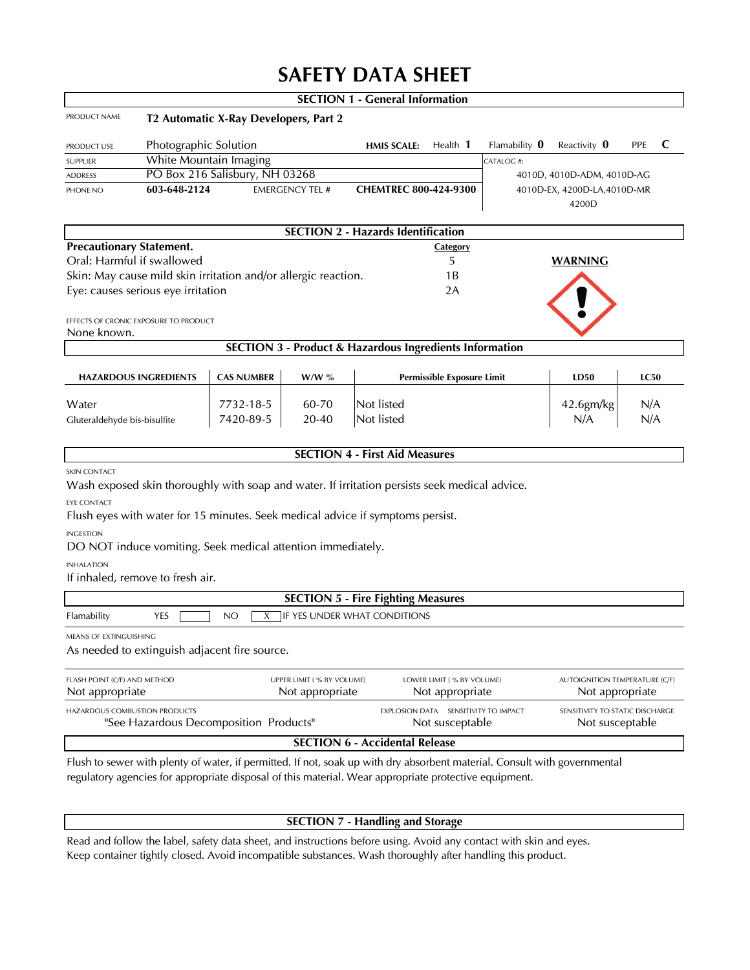# **SAFETY DATA SHEET**

|                                 |                                                              |                                                                                                                           |                           | <b>SECTION 1 - General Information</b>                             |                 |                                       |                                       |             |   |
|---------------------------------|--------------------------------------------------------------|---------------------------------------------------------------------------------------------------------------------------|---------------------------|--------------------------------------------------------------------|-----------------|---------------------------------------|---------------------------------------|-------------|---|
| PRODUCT NAME                    |                                                              | T2 Automatic X-Ray Developers, Part 2                                                                                     |                           |                                                                    |                 |                                       |                                       |             |   |
| PRODUCT USE                     | Photographic Solution                                        |                                                                                                                           |                           | <b>HMIS SCALE:</b>                                                 | Health 1        | Flamability $\mathbf 0$               | Reactivity 0                          | <b>PPE</b>  | C |
| SUPPLIER                        | White Mountain Imaging                                       |                                                                                                                           |                           |                                                                    |                 | CATALOG #:                            |                                       |             |   |
| <b>ADDRESS</b>                  | PO Box 216 Salisbury, NH 03268<br>4010D, 4010D-ADM, 4010D-AG |                                                                                                                           |                           |                                                                    |                 |                                       |                                       |             |   |
| PHONE NO                        | 603-648-2124                                                 |                                                                                                                           | <b>EMERGENCY TEL #</b>    | CHEMTREC 800-424-9300                                              |                 |                                       | 4010D-EX, 4200D-LA, 4010D-MR<br>4200D |             |   |
|                                 |                                                              |                                                                                                                           |                           | <b>SECTION 2 - Hazards Identification</b>                          |                 |                                       |                                       |             |   |
| <b>Precautionary Statement.</b> |                                                              |                                                                                                                           |                           |                                                                    | Category        |                                       |                                       |             |   |
| Oral: Harmful if swallowed      |                                                              |                                                                                                                           |                           |                                                                    | 5               |                                       | <b>WARNING</b>                        |             |   |
|                                 |                                                              | Skin: May cause mild skin irritation and/or allergic reaction.                                                            |                           |                                                                    | 1B              |                                       |                                       |             |   |
|                                 | Eye: causes serious eye irritation                           |                                                                                                                           |                           | 2A                                                                 |                 |                                       |                                       |             |   |
|                                 |                                                              |                                                                                                                           |                           |                                                                    |                 |                                       |                                       |             |   |
| None known.                     | EFFECTS OF CRONIC EXPOSURE TO PRODUCT                        |                                                                                                                           |                           |                                                                    |                 |                                       |                                       |             |   |
|                                 |                                                              |                                                                                                                           |                           | <b>SECTION 3 - Product &amp; Hazardous Ingredients Information</b> |                 |                                       |                                       |             |   |
|                                 | <b>CAS NUMBER</b><br><b>HAZARDOUS INGREDIENTS</b><br>$W/W$ % |                                                                                                                           |                           | <b>Permissible Exposure Limit</b>                                  |                 |                                       | LD50                                  | <b>LC50</b> |   |
|                                 |                                                              |                                                                                                                           |                           |                                                                    |                 |                                       |                                       |             |   |
| Water                           |                                                              | 7732-18-5                                                                                                                 | 60-70                     | Not listed                                                         |                 |                                       | 42.6gm/kg<br>N/A                      | N/A         |   |
| Gluteraldehyde bis-bisulfite    |                                                              | 7420-89-5                                                                                                                 | 20-40                     | Not listed                                                         |                 |                                       |                                       | N/A         |   |
|                                 |                                                              |                                                                                                                           |                           | <b>SECTION 4 - First Aid Measures</b>                              |                 |                                       |                                       |             |   |
|                                 |                                                              |                                                                                                                           |                           |                                                                    |                 |                                       |                                       |             |   |
| <b>SKIN CONTACT</b>             |                                                              | Wash exposed skin thoroughly with soap and water. If irritation persists seek medical advice.                             |                           |                                                                    |                 |                                       |                                       |             |   |
| <b>EYE CONTACT</b>              |                                                              |                                                                                                                           |                           |                                                                    |                 |                                       |                                       |             |   |
|                                 |                                                              | Flush eyes with water for 15 minutes. Seek medical advice if symptoms persist.                                            |                           |                                                                    |                 |                                       |                                       |             |   |
| <b>INGESTION</b>                |                                                              |                                                                                                                           |                           |                                                                    |                 |                                       |                                       |             |   |
|                                 |                                                              | DO NOT induce vomiting. Seek medical attention immediately.                                                               |                           |                                                                    |                 |                                       |                                       |             |   |
| <b>INHALATION</b>               |                                                              |                                                                                                                           |                           |                                                                    |                 |                                       |                                       |             |   |
|                                 | If inhaled, remove to fresh air.                             |                                                                                                                           |                           |                                                                    |                 |                                       |                                       |             |   |
|                                 |                                                              |                                                                                                                           |                           | <b>SECTION 5 - Fire Fighting Measures</b>                          |                 |                                       |                                       |             |   |
| Flamability                     | <b>YES</b>                                                   | NO<br>X                                                                                                                   |                           | <b>IF YES UNDER WHAT CONDITIONS</b>                                |                 |                                       |                                       |             |   |
| <b>MEANS OF EXTINGUISHING</b>   |                                                              |                                                                                                                           |                           |                                                                    |                 |                                       |                                       |             |   |
|                                 |                                                              | As needed to extinguish adjacent fire source.                                                                             |                           |                                                                    |                 |                                       |                                       |             |   |
| FLASH POINT (C/F) AND METHOD    |                                                              | UPPER LIMIT (% BY VOLUME)                                                                                                 | LOWER LIMIT (% BY VOLUME) |                                                                    |                 | <b>AUTOIGNITION TEMPERATURE (C/F)</b> |                                       |             |   |
| Not appropriate                 |                                                              | Not appropriate                                                                                                           | Not appropriate           |                                                                    |                 | Not appropriate                       |                                       |             |   |
| HAZARDOUS COMBUSTION PRODUCTS   |                                                              |                                                                                                                           |                           | EXPLOSION DATA SENSITIVITY TO IMPACT                               |                 | SENSITIVITY TO STATIC DISCHARGE       |                                       |             |   |
|                                 |                                                              | "See Hazardous Decomposition Products"                                                                                    |                           |                                                                    | Not susceptable |                                       | Not susceptable                       |             |   |
|                                 |                                                              |                                                                                                                           |                           | <b>SECTION 6 - Accidental Release</b>                              |                 |                                       |                                       |             |   |
|                                 |                                                              | Flush to sewer with plenty of water, if permitted. If not, soak up with dry absorbent material. Consult with governmental |                           |                                                                    |                 |                                       |                                       |             |   |

*regulatory agencies for appropriate disposal of this material. Wear appropriate protective equipment.*

# **SECTION 7 - Handling and Storage**

*Read and follow the label, safety data sheet, and instructions before using. Avoid any contact with skin and eyes. Keep container tightly closed. Avoid incompatible substances. Wash thoroughly after handling this product.*